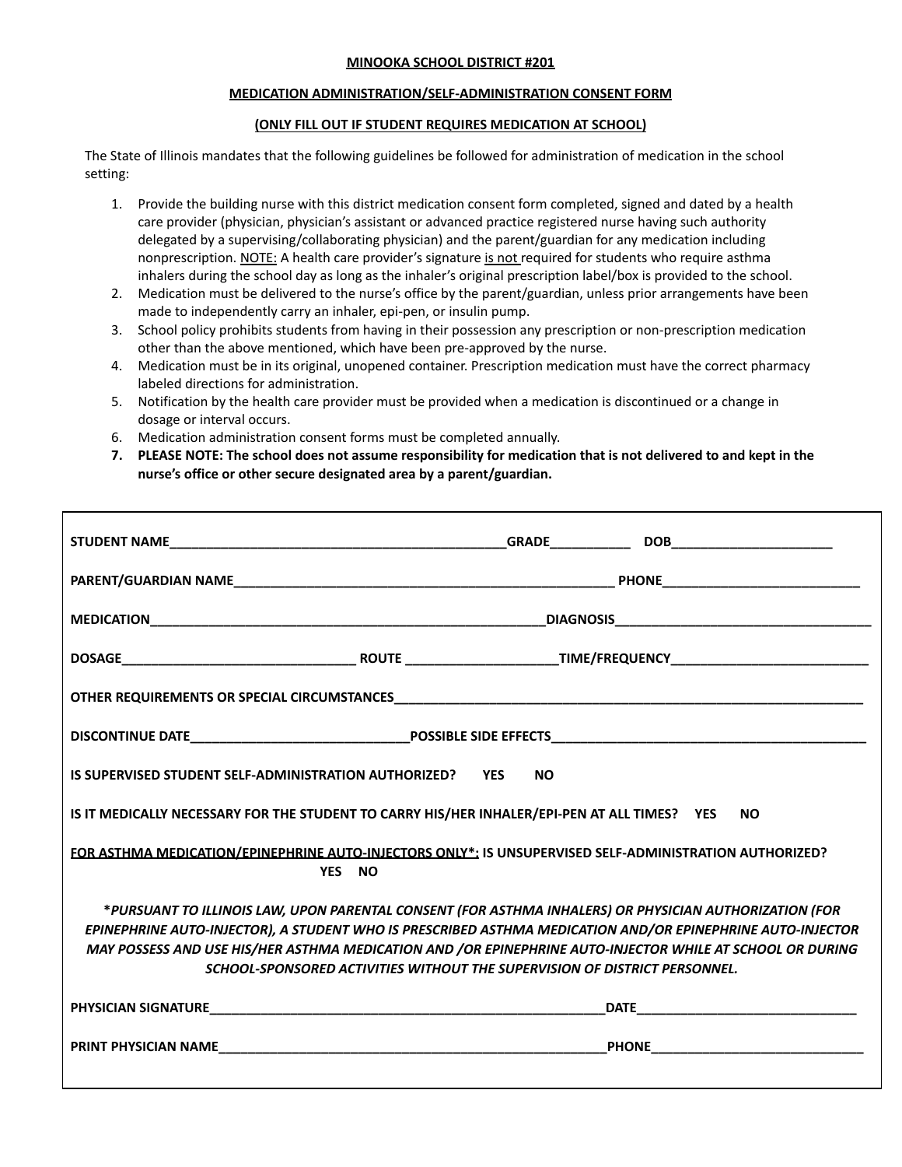## **MINOOKA SCHOOL DISTRICT #201**

## **MEDICATION ADMINISTRATION/SELF-ADMINISTRATION CONSENT FORM**

## **(ONLY FILL OUT IF STUDENT REQUIRES MEDICATION AT SCHOOL)**

The State of Illinois mandates that the following guidelines be followed for administration of medication in the school setting:

- 1. Provide the building nurse with this district medication consent form completed, signed and dated by a health care provider (physician, physician's assistant or advanced practice registered nurse having such authority delegated by a supervising/collaborating physician) and the parent/guardian for any medication including nonprescription. NOTE: A health care provider's signature is not required for students who require asthma inhalers during the school day as long as the inhaler's original prescription label/box is provided to the school.
- 2. Medication must be delivered to the nurse's office by the parent/guardian, unless prior arrangements have been made to independently carry an inhaler, epi-pen, or insulin pump.
- 3. School policy prohibits students from having in their possession any prescription or non-prescription medication other than the above mentioned, which have been pre-approved by the nurse.
- 4. Medication must be in its original, unopened container. Prescription medication must have the correct pharmacy labeled directions for administration.
- 5. Notification by the health care provider must be provided when a medication is discontinued or a change in dosage or interval occurs.
- 6. Medication administration consent forms must be completed annually.
- 7. PLEASE NOTE: The school does not assume responsibility for medication that is not delivered to and kept in the **nurse's office or other secure designated area by a parent/guardian.**

| IS SUPERVISED STUDENT SELF-ADMINISTRATION AUTHORIZED? YES<br><b>NO</b>                                                                                                                                                                                                                                                                                                                                          |                                                |
|-----------------------------------------------------------------------------------------------------------------------------------------------------------------------------------------------------------------------------------------------------------------------------------------------------------------------------------------------------------------------------------------------------------------|------------------------------------------------|
| IS IT MEDICALLY NECESSARY FOR THE STUDENT TO CARRY HIS/HER INHALER/EPI-PEN AT ALL TIMES? YES<br><b>NO</b>                                                                                                                                                                                                                                                                                                       |                                                |
| FOR ASTHMA MEDICATION/EPINEPHRINE AUTO-INJECTORS ONLY*: IS UNSUPERVISED SELF-ADMINISTRATION AUTHORIZED?<br>YES NO                                                                                                                                                                                                                                                                                               |                                                |
| *PURSUANT TO ILLINOIS LAW, UPON PARENTAL CONSENT (FOR ASTHMA INHALERS) OR PHYSICIAN AUTHORIZATION (FOR<br>EPINEPHRINE AUTO-INJECTOR), A STUDENT WHO IS PRESCRIBED ASTHMA MEDICATION AND/OR EPINEPHRINE AUTO-INJECTOR<br>MAY POSSESS AND USE HIS/HER ASTHMA MEDICATION AND /OR EPINEPHRINE AUTO-INJECTOR WHILE AT SCHOOL OR DURING<br>SCHOOL-SPONSORED ACTIVITIES WITHOUT THE SUPERVISION OF DISTRICT PERSONNEL. |                                                |
|                                                                                                                                                                                                                                                                                                                                                                                                                 |                                                |
|                                                                                                                                                                                                                                                                                                                                                                                                                 | <b>PHONE__________________________________</b> |